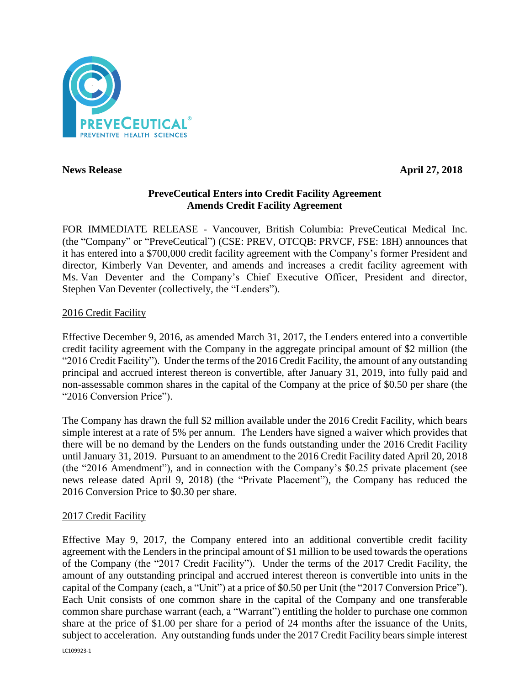

**News Release April 27, 2018**

# **PreveCeutical Enters into Credit Facility Agreement Amends Credit Facility Agreement**

FOR IMMEDIATE RELEASE - Vancouver, British Columbia: PreveCeutical Medical Inc. (the "Company" or "PreveCeutical") (CSE: PREV, OTCQB: PRVCF, FSE: 18H) announces that it has entered into a \$700,000 credit facility agreement with the Company's former President and director, Kimberly Van Deventer, and amends and increases a credit facility agreement with Ms. Van Deventer and the Company's Chief Executive Officer, President and director, Stephen Van Deventer (collectively, the "Lenders").

# 2016 Credit Facility

Effective December 9, 2016, as amended March 31, 2017, the Lenders entered into a convertible credit facility agreement with the Company in the aggregate principal amount of \$2 million (the "2016 Credit Facility"). Under the terms of the 2016 Credit Facility, the amount of any outstanding principal and accrued interest thereon is convertible, after January 31, 2019, into fully paid and non-assessable common shares in the capital of the Company at the price of \$0.50 per share (the "2016 Conversion Price").

The Company has drawn the full \$2 million available under the 2016 Credit Facility, which bears simple interest at a rate of 5% per annum. The Lenders have signed a waiver which provides that there will be no demand by the Lenders on the funds outstanding under the 2016 Credit Facility until January 31, 2019. Pursuant to an amendment to the 2016 Credit Facility dated April 20, 2018 (the "2016 Amendment"), and in connection with the Company's \$0.25 private placement (see news release dated April 9, 2018) (the "Private Placement"), the Company has reduced the 2016 Conversion Price to \$0.30 per share.

## 2017 Credit Facility

Effective May 9, 2017, the Company entered into an additional convertible credit facility agreement with the Lenders in the principal amount of \$1 million to be used towards the operations of the Company (the "2017 Credit Facility"). Under the terms of the 2017 Credit Facility, the amount of any outstanding principal and accrued interest thereon is convertible into units in the capital of the Company (each, a "Unit") at a price of \$0.50 per Unit (the "2017 Conversion Price"). Each Unit consists of one common share in the capital of the Company and one transferable common share purchase warrant (each, a "Warrant") entitling the holder to purchase one common share at the price of \$1.00 per share for a period of 24 months after the issuance of the Units, subject to acceleration. Any outstanding funds under the 2017 Credit Facility bears simple interest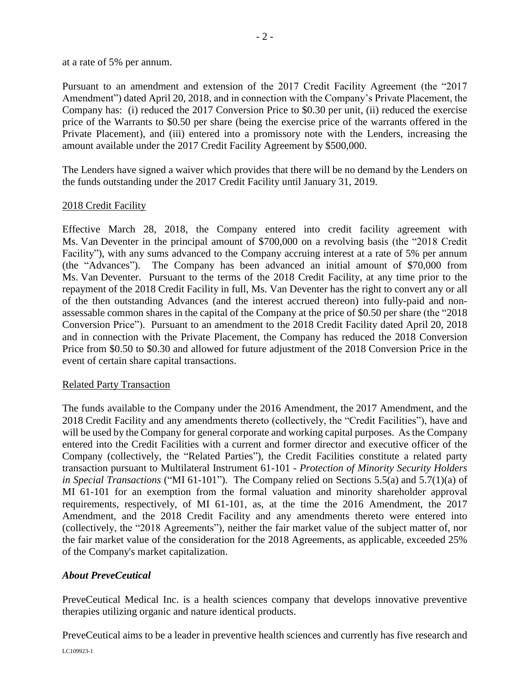at a rate of 5% per annum.

Pursuant to an amendment and extension of the 2017 Credit Facility Agreement (the "2017 Amendment") dated April 20, 2018, and in connection with the Company's Private Placement, the Company has: (i) reduced the 2017 Conversion Price to \$0.30 per unit, (ii) reduced the exercise price of the Warrants to \$0.50 per share (being the exercise price of the warrants offered in the Private Placement), and (iii) entered into a promissory note with the Lenders, increasing the amount available under the 2017 Credit Facility Agreement by \$500,000.

The Lenders have signed a waiver which provides that there will be no demand by the Lenders on the funds outstanding under the 2017 Credit Facility until January 31, 2019.

### 2018 Credit Facility

Effective March 28, 2018, the Company entered into credit facility agreement with Ms. Van Deventer in the principal amount of \$700,000 on a revolving basis (the "2018 Credit Facility"), with any sums advanced to the Company accruing interest at a rate of 5% per annum (the "Advances"). The Company has been advanced an initial amount of \$70,000 from Ms. Van Deventer. Pursuant to the terms of the 2018 Credit Facility, at any time prior to the repayment of the 2018 Credit Facility in full, Ms. Van Deventer has the right to convert any or all of the then outstanding Advances (and the interest accrued thereon) into fully-paid and nonassessable common shares in the capital of the Company at the price of \$0.50 per share (the "2018 Conversion Price"). Pursuant to an amendment to the 2018 Credit Facility dated April 20, 2018 and in connection with the Private Placement, the Company has reduced the 2018 Conversion Price from \$0.50 to \$0.30 and allowed for future adjustment of the 2018 Conversion Price in the event of certain share capital transactions.

### Related Party Transaction

The funds available to the Company under the 2016 Amendment, the 2017 Amendment, and the 2018 Credit Facility and any amendments thereto (collectively, the "Credit Facilities"), have and will be used by the Company for general corporate and working capital purposes. As the Company entered into the Credit Facilities with a current and former director and executive officer of the Company (collectively, the "Related Parties"), the Credit Facilities constitute a related party transaction pursuant to Multilateral Instrument 61-101 - *Protection of Minority Security Holders in Special Transactions* ("MI 61-101"). The Company relied on Sections 5.5(a) and 5.7(1)(a) of MI 61-101 for an exemption from the formal valuation and minority shareholder approval requirements, respectively, of MI 61-101, as, at the time the 2016 Amendment, the 2017 Amendment, and the 2018 Credit Facility and any amendments thereto were entered into (collectively, the "2018 Agreements"), neither the fair market value of the subject matter of, nor the fair market value of the consideration for the 2018 Agreements, as applicable, exceeded 25% of the Company's market capitalization.

## *About PreveCeutical*

PreveCeutical Medical Inc. is a health sciences company that develops innovative preventive therapies utilizing organic and nature identical products.

PreveCeutical aims to be a leader in preventive health sciences and currently has five research and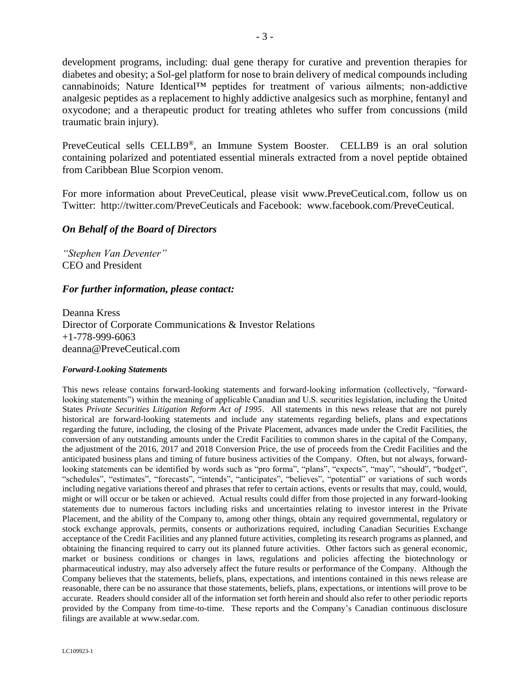development programs, including: dual gene therapy for curative and prevention therapies for diabetes and obesity; a Sol-gel platform for nose to brain delivery of medical compounds including cannabinoids; Nature Identical™ peptides for treatment of various ailments; non-addictive analgesic peptides as a replacement to highly addictive analgesics such as morphine, fentanyl and oxycodone; and a therapeutic product for treating athletes who suffer from concussions (mild traumatic brain injury).

PreveCeutical sells CELLB9®, an Immune System Booster. CELLB9 is an oral solution containing polarized and potentiated essential minerals extracted from a novel peptide obtained from Caribbean Blue Scorpion venom.

For more information about PreveCeutical, please visit www.PreveCeutical.com, follow us on Twitter: http://twitter.com/PreveCeuticals and Facebook: www.facebook.com/PreveCeutical.

### *On Behalf of the Board of Directors*

*"Stephen Van Deventer"* CEO and President

### *For further information, please contact:*

Deanna Kress Director of Corporate Communications & Investor Relations +1-778-999-6063 deanna@PreveCeutical.com

#### *Forward-Looking Statements*

This news release contains forward-looking statements and forward-looking information (collectively, "forwardlooking statements") within the meaning of applicable Canadian and U.S. securities legislation, including the United States *Private Securities Litigation Reform Act of 1995*. All statements in this news release that are not purely historical are forward-looking statements and include any statements regarding beliefs, plans and expectations regarding the future, including, the closing of the Private Placement, advances made under the Credit Facilities, the conversion of any outstanding amounts under the Credit Facilities to common shares in the capital of the Company, the adjustment of the 2016, 2017 and 2018 Conversion Price, the use of proceeds from the Credit Facilities and the anticipated business plans and timing of future business activities of the Company. Often, but not always, forwardlooking statements can be identified by words such as "pro forma", "plans", "expects", "may", "should", "budget", "schedules", "estimates", "forecasts", "intends", "anticipates", "believes", "potential" or variations of such words including negative variations thereof and phrases that refer to certain actions, events or results that may, could, would, might or will occur or be taken or achieved. Actual results could differ from those projected in any forward-looking statements due to numerous factors including risks and uncertainties relating to investor interest in the Private Placement, and the ability of the Company to, among other things, obtain any required governmental, regulatory or stock exchange approvals, permits, consents or authorizations required, including Canadian Securities Exchange acceptance of the Credit Facilities and any planned future activities, completing its research programs as planned, and obtaining the financing required to carry out its planned future activities. Other factors such as general economic, market or business conditions or changes in laws, regulations and policies affecting the biotechnology or pharmaceutical industry, may also adversely affect the future results or performance of the Company. Although the Company believes that the statements, beliefs, plans, expectations, and intentions contained in this news release are reasonable, there can be no assurance that those statements, beliefs, plans, expectations, or intentions will prove to be accurate. Readers should consider all of the information set forth herein and should also refer to other periodic reports provided by the Company from time-to-time. These reports and the Company's Canadian continuous disclosure filings are available at www.sedar.com.